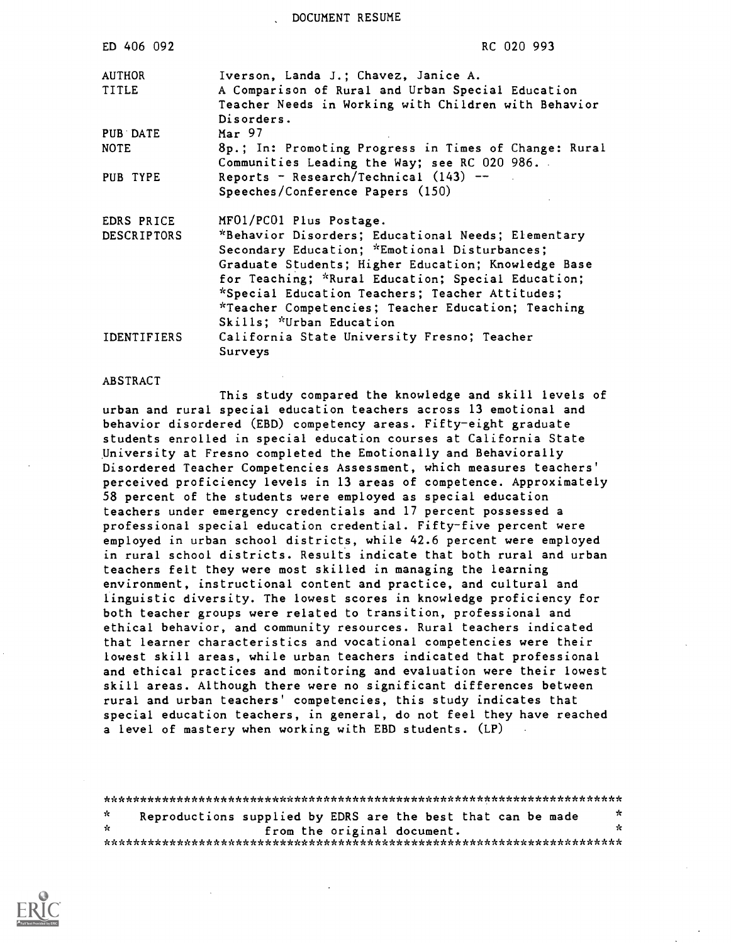DOCUMENT RESUME

| ED 406 092         | RC 020 993                                                                                                                                                                                                       |
|--------------------|------------------------------------------------------------------------------------------------------------------------------------------------------------------------------------------------------------------|
| AUTHOR<br>TITLE    | Iverson, Landa J.; Chavez, Janice A.<br>A Comparison of Rural and Urban Special Education<br>Teacher Needs in Working with Children with Behavior<br>Disorders.                                                  |
| PUB DATE           | Mar 97                                                                                                                                                                                                           |
| <b>NOTE</b>        | 8p.; In: Promoting Progress in Times of Change: Rural<br>Communities Leading the Way; see RC 020 986.                                                                                                            |
| PUB TYPE           | Reports - Research/Technical $(143)$ --<br>Speeches/Conference Papers (150)                                                                                                                                      |
| EDRS PRICE         | MF01/PC01 Plus Postage.                                                                                                                                                                                          |
| <b>DESCRIPTORS</b> | *Behavior Disorders; Educational Needs; Elementary<br>Secondary Education; *Emotional Disturbances;<br>Graduate Students; Higher Education; Knowledge Base<br>for Teaching; *Rural Education; Special Education; |
|                    | *Special Education Teachers; Teacher Attitudes;<br>*Teacher Competencies; Teacher Education; Teaching                                                                                                            |
| <b>IDENTIFIERS</b> | Skills; *Urban Education<br>California State University Fresno; Teacher<br>Surveys                                                                                                                               |

#### ABSTRACT

This study compared the knowledge and skill levels of urban and rural special education teachers across 13 emotional and behavior disordered (EBD) competency areas. Fifty-eight graduate students enrolled in special education courses at California State University at Fresno completed the Emotionally and Behaviorally Disordered Teacher Competencies Assessment, which measures teachers' perceived proficiency levels in 13 areas of competence. Approximately 58 percent of the students were employed as special education teachers under emergency credentials and 17 percent possessed a professional special education credential. Fifty-five percent were employed in urban school districts, while 42.6 percent were employed in rural school districts. Results indicate that both rural and urban teachers felt they were most skilled in managing the learning environment, instructional content and practice, and cultural and linguistic diversity. The lowest scores in knowledge proficiency for both teacher groups were related to transition, professional and ethical behavior, and community resources. Rural teachers indicated that learner characteristics and vocational competencies were their lowest skill areas, while urban teachers indicated that professional and ethical practices and monitoring and evaluation were their lowest skill areas. Although there were no significant differences between rural and urban teachers' competencies, this study indicates that special education teachers, in general, do not feel they have reached a level of mastery when working with EBD students. (LP)

| x  | Reproductions supplied by EDRS are the best that can be made | $\pi$ |
|----|--------------------------------------------------------------|-------|
| ÷. | from the original document.                                  | n.    |
|    |                                                              |       |

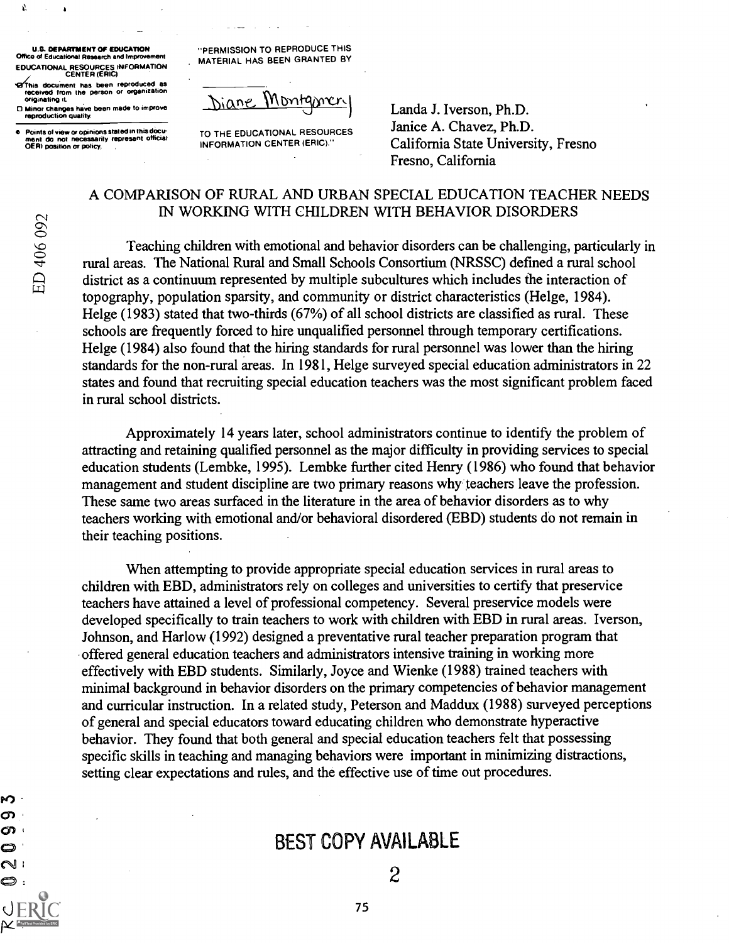U.S. DEPARTMENT OF EDUCATION Office of Educational Research and Impro EDUCATIONAL RESOURCES INFORMATION CENTER (ERIC)

'471/chis document has been reproduced as received from the person or organization originating it.

0 Minor changes have been made to improve reproduction quality.

Points of view or opinions stated in this docu-<br>ment do not necessarily represent official<br>OERI position or policy,

"PERMISSION TO REPRODUCE THIS . MATERIAL HAS BEEN GRANTED BY

Diane Montgomer

TO THE EDUCATIONAL RESOURCES INFORMATION CENTER (ERIC)."

Landa J. Iverson, Ph.D. Janice A. Chavez, Ph.D. California State University, Fresno Fresno, California

## A COMPARISON OF RURAL AND URBAN SPECIAL EDUCATION TEACHER NEEDS IN WORKING WITH CHILDREN WITH BEHAVIOR DISORDERS

Teaching children with emotional and behavior disorders can be challenging, particularly in rural areas. The National Rural and Small Schools Consortium (NRSSC) defined a rural school district as a continuum represented by multiple subcultures which includes the interaction of topography, population sparsity, and community or district characteristics (Helge, 1984). Helge (1983) stated that two-thirds (67%) of all school districts are classified as rural. These schools are frequently forced to hire unqualified personnel through temporary certifications. Helge (1984) also found that the hiring standards for rural personnel was lower than the hiring standards for the non-rural areas. In 1981, Helge surveyed special education administrators in 22 states and found that recruiting special education teachers was the most significant problem faced in rural school districts.

Approximately 14 years later, school administrators continue to identify the problem of attracting and retaining qualified personnel as the major difficulty in providing services to special education students (Lembke, 1995). Lembke further cited Henry (1986) who found that behavior management and student discipline are two primary reasons why teachers leave the profession. These same two areas surfaced in the literature in the area of behavior disorders as to why teachers working with emotional and/or behavioral disordered (EBD) students do not remain in their teaching positions.

When attempting to provide appropriate special education services in rural areas to children with EBD, administrators rely on colleges and universities to certify that preservice teachers have attained a level of professional competency. Several preservice models were developed specifically to train teachers to work with children with EBD in rural areas. Iverson, Johnson, and Harlow (1992) designed a preventative rural teacher preparation program that offered general education teachers and administrators intensive training in working more effectively with EBD students. Similarly, Joyce and Wienke (1988) trained teachers with minimal background in behavior disorders on the primary competencies of behavior management and curricular instruction. In a related study, Peterson and Maddux (1988) surveyed perceptions of general and special educators toward educating children who demonstrate hyperactive behavior. They found that both general and special education teachers felt that possessing specific skills in teaching and managing behaviors were important in minimizing distractions, setting clear expectations and rules, and the effective use of time out procedures.

# BEST COPY AVAILABLE

75

Ю. တ · တ . O  $\sim$  : O :

Ŵ.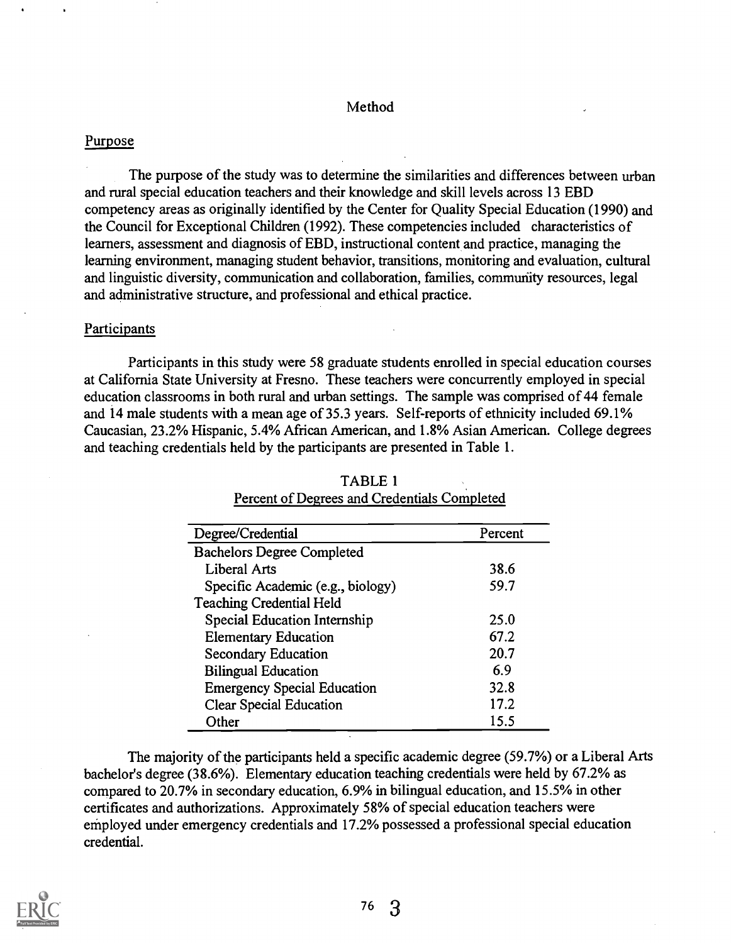### Method

### Purpose

The purpose of the study was to determine the similarities and differences between urban and rural special education teachers and their knowledge and skill levels across 13 EBD competency areas as originally identified by the Center for Quality Special Education (1990) and the Council for Exceptional Children (1992). These competencies included characteristics of learners, assessment and diagnosis of EBD, instructional content and practice, managing the learning environment, managing student behavior, transitions, monitoring and evaluation, cultural and linguistic diversity, communication and collaboration, families, community resources, legal and administrative structure, and professional and ethical practice.

#### Participants

Participants in this study were 58 graduate students enrolled in special education courses at California State University at Fresno. These teachers were concurrently employed in special education classrooms in both rural and urban settings. The sample was comprised of 44 female and 14 male students with a mean age of 35.3 years. Self-reports of ethnicity included 69.1% Caucasian, 23.2% Hispanic, 5.4% African American, and 1.8% Asian American. College degrees and teaching credentials held by the participants are presented in Table 1.

| Degree/Credential                  | Percent |
|------------------------------------|---------|
| <b>Bachelors Degree Completed</b>  |         |
| <b>Liberal Arts</b>                | 38.6    |
| Specific Academic (e.g., biology)  | 59.7    |
| <b>Teaching Credential Held</b>    |         |
| Special Education Internship       | 25.0    |
| <b>Elementary Education</b>        | 67.2    |
| <b>Secondary Education</b>         | 20.7    |
| <b>Bilingual Education</b>         | 6.9     |
| <b>Emergency Special Education</b> | 32.8    |
| <b>Clear Special Education</b>     | 17.2    |
| Other                              | 15.5    |

# TABLE 1 Percent of Degrees and Credentials Completed

The majority of the participants held a specific academic degree (59.7%) or a Liberal Arts bachelor's degree (38.6%). Elementary education teaching credentials were held by 67.2% as compared to 20.7% in secondary education, 6.9% in bilingual education, and 15.5% in other certificates and authorizations. Approximately 58% of special education teachers were employed under emergency credentials and 17.2% possessed a professional special education credential.

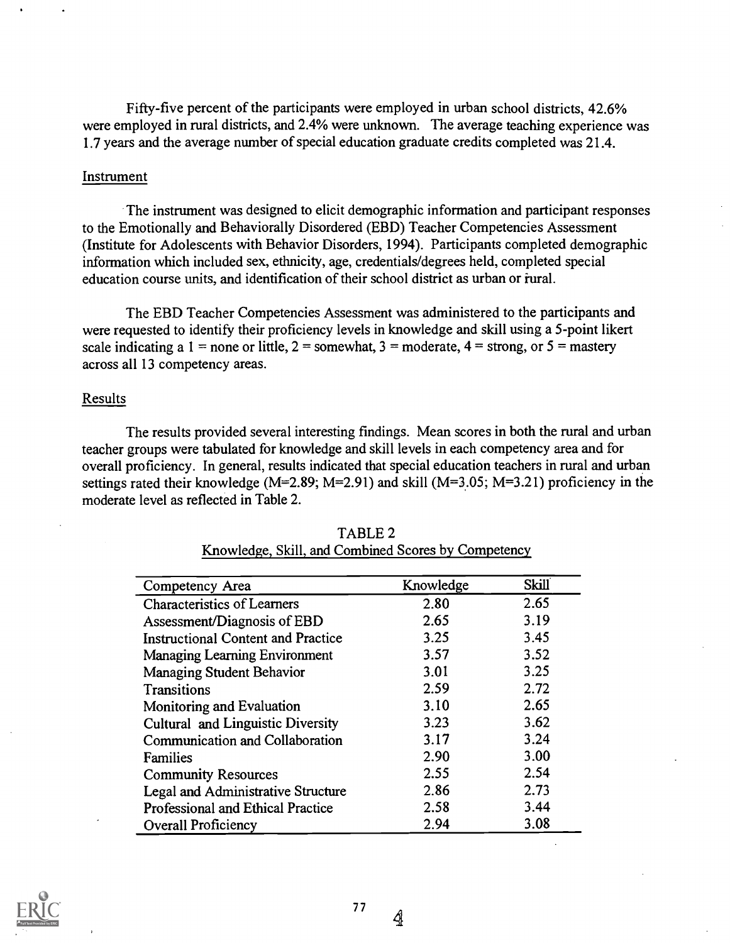Fifty-five percent of the participants were employed in urban school districts, 42.6% were employed in rural districts, and 2.4% were unknown. The average teaching experience was 1.7 years and the average number of special education graduate credits completed was 21.4.

### Instrument

The instrument was designed to elicit demographic information and participant responses to the Emotionally and Behaviorally Disordered (EBD) Teacher Competencies Assessment (Institute for Adolescents with Behavior Disorders, 1994). Participants completed demographic information which included sex, ethnicity, age, credentials/degrees held, completed special education course units, and identification of their school district as urban or iural.

The EBD Teacher Competencies Assessment was administered to the participants and were requested to identify their proficiency levels in knowledge and skill using a 5-point likert scale indicating a 1 = none or little,  $2 =$  somewhat,  $3 =$  moderate,  $4 =$  strong, or  $5 =$  mastery across all 13 competency areas.

#### Results

The results provided several interesting findings. Mean scores in both the rural and urban teacher groups were tabulated for knowledge and skill levels in each competency area and for overall proficiency. In general, results indicated that special education teachers in rural and urban settings rated their knowledge ( $M=2.89$ ;  $M=2.91$ ) and skill ( $M=3.05$ ;  $M=3.21$ ) proficiency in the moderate level as reflected in Table 2.

| Competency Area                           | Knowledge | <b>Skill</b> |
|-------------------------------------------|-----------|--------------|
| <b>Characteristics of Learners</b>        | 2.80      | 2.65         |
| Assessment/Diagnosis of EBD               | 2.65      | 3.19         |
| <b>Instructional Content and Practice</b> | 3.25      | 3.45         |
| Managing Learning Environment             | 3.57      | 3.52         |
| <b>Managing Student Behavior</b>          | 3.01      | 3.25         |
| <b>Transitions</b>                        | 2.59      | 2.72         |
| Monitoring and Evaluation                 | 3.10      | 2.65         |
| Cultural and Linguistic Diversity         | 3.23      | 3.62         |
| Communication and Collaboration           | 3.17      | 3.24         |
| Families                                  | 2.90      | 3.00         |
| <b>Community Resources</b>                | 2.55      | 2.54         |
| Legal and Administrative Structure        | 2.86      | 2.73         |
| <b>Professional and Ethical Practice</b>  | 2.58      | 3.44         |
| Overall Proficiency                       | 2.94      | 3.08         |

### TABLE 2 Knowledge, Skill, and Combined Scores by Competency



 $\hat{q}$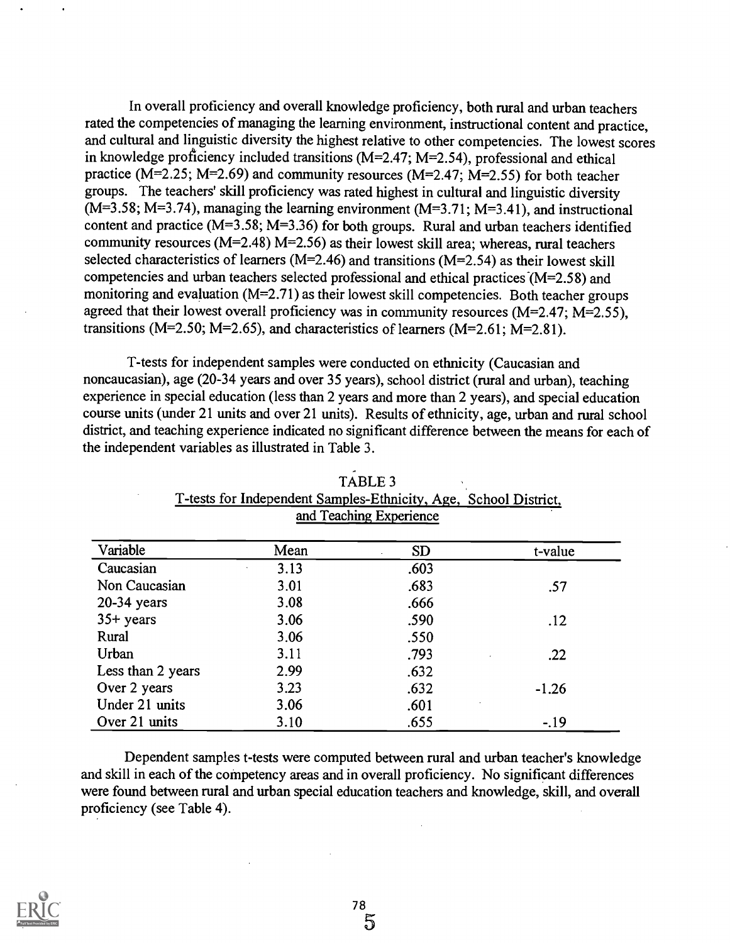In overall proficiency and overall knowledge proficiency, both rural and urban teachers rated the competencies of managing the learning environment, instructional content and practice, and cultural and linguistic diversity the highest relative to other competencies. The lowest scores in knowledge proficiency included transitions  $(M=2.47; M=2.54)$ , professional and ethical practice ( $M=2.25$ ;  $M=2.69$ ) and community resources ( $M=2.47$ ;  $M=2.55$ ) for both teacher groups. The teachers' skill proficiency was rated highest in cultural and linguistic diversity  $(M=3.58; M=3.74)$ , managing the learning environment  $(M=3.71; M=3.41)$ , and instructional content and practice (M=3.58; M=3.36) for both groups. Rural and urban teachers identified community resources ( $M=2.48$ )  $M=2.56$ ) as their lowest skill area; whereas, rural teachers selected characteristics of learners (M=2.46) and transitions (M=2.54) as their lowest skill competencies and urban teachers selected professional and ethical practices  $(M=2.58)$  and monitoring and evaluation (M=2.71) as their lowest skill competencies. Both teacher groups agreed that their lowest overall proficiency was in community resources ( $M=2.47$ ;  $M=2.55$ ), transitions ( $M=2.50$ ;  $M=2.65$ ), and characteristics of learners ( $M=2.61$ ;  $M=2.81$ ).

T-tests for independent samples were conducted on ethnicity (Caucasian and noncaucasian), age (20-34 years and over 35 years), school district (rural and urban), teaching experience in special education (less than 2 years and more than 2 years), and special education course units (under 21 units and over 21 units). Results of ethnicity, age, urban and rural school district, and teaching experience indicated no significant difference between the means for each of the independent variables as illustrated in Table 3.

| Variable          | Mean | <b>SD</b> | t-value |
|-------------------|------|-----------|---------|
| Caucasian         | 3.13 | .603      |         |
| Non Caucasian     | 3.01 | .683      | .57     |
| $20-34$ years     | 3.08 | .666      |         |
| $35+ years$       | 3.06 | .590      | .12     |
| Rural             | 3.06 | .550      |         |
| Urban             | 3.11 | .793      | .22     |
| Less than 2 years | 2.99 | .632      |         |
| Over 2 years      | 3.23 | .632      | $-1.26$ |
| Under 21 units    | 3.06 | .601      |         |
| Over 21 units     | 3.10 | .655      | $-.19$  |

TABLE 3 T-tests for Independent Samples-Ethnicity, Age, School District, and Teaching Experience

Dependent samples t-tests were computed between rural and urban teacher's knowledge and skill in each of the competency areas and in overall proficiency. No significant differences were found between rural and urban special education teachers and knowledge, skill, and overall proficiency (see Table 4).

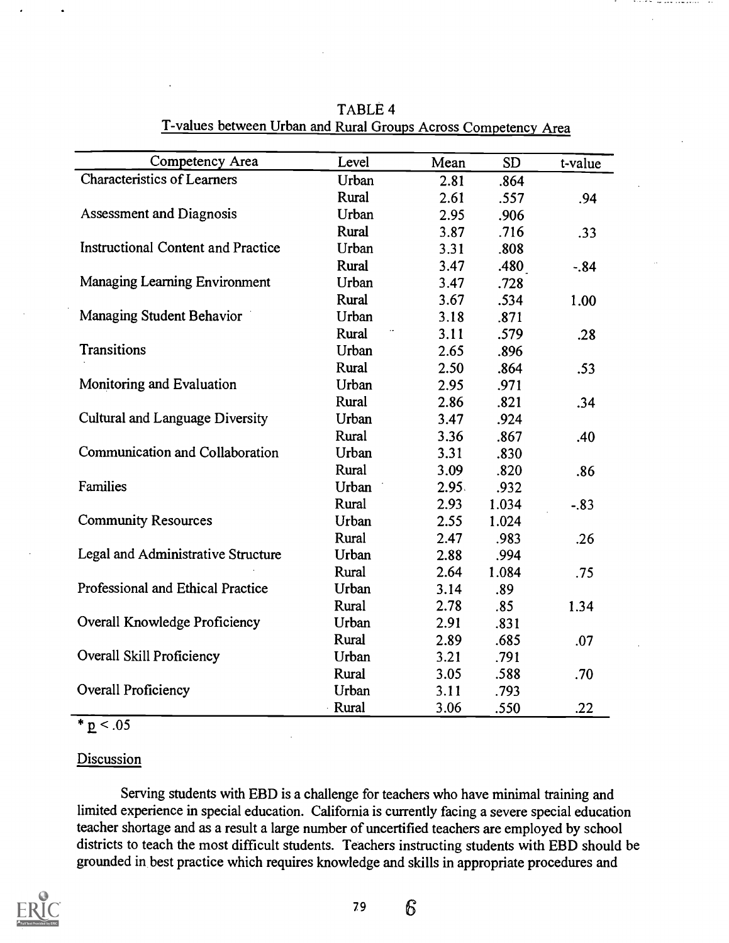| Competency Area                           | Level        | Mean  | <b>SD</b> | t-value |
|-------------------------------------------|--------------|-------|-----------|---------|
| <b>Characteristics of Learners</b>        | Urban        | 2.81  | .864      |         |
|                                           | Rural        | 2.61  | .557      | .94     |
| <b>Assessment and Diagnosis</b>           | Urban        | 2.95  | .906      |         |
|                                           | Rural        | 3.87  | .716      | .33     |
| <b>Instructional Content and Practice</b> | Urban        | 3.31  | .808      |         |
|                                           | Rural        | 3.47  | .480      | $-.84$  |
| <b>Managing Learning Environment</b>      | Urban        | 3.47  | .728      |         |
|                                           | Rural        | 3.67  | .534      | 1.00    |
| <b>Managing Student Behavior</b>          | Urban        | 3.18  | .871      |         |
|                                           | Rural        | 3.11  | .579      | .28     |
| Transitions                               | Urban        | 2.65  | .896      |         |
|                                           | Rural        | 2.50  | .864      | .53     |
| Monitoring and Evaluation                 | Urban        | 2.95  | .971      |         |
|                                           | Rural        | 2.86  | .821      | .34     |
| Cultural and Language Diversity           | Urban        | 3.47  | .924      |         |
|                                           | Rural        | 3.36  | .867      | .40     |
| Communication and Collaboration           | Urban        | 3.31  | .830      |         |
|                                           | Rural        | 3.09  | .820      | .86     |
| Families                                  | Urban        | 2.95. | .932      |         |
|                                           | Rural        | 2.93  | 1.034     | $-83$   |
| <b>Community Resources</b>                | Urban        | 2.55  | 1.024     |         |
|                                           | Rural        | 2.47  | .983      | .26     |
| Legal and Administrative Structure        | Urban        | 2.88  | .994      |         |
|                                           | Rural        | 2.64  | 1.084     | .75     |
| Professional and Ethical Practice         | Urban        | 3.14  | .89       |         |
|                                           | Rural        | 2.78  | .85       | 1.34    |
| Overall Knowledge Proficiency             | Urban        | 2.91  | .831      |         |
|                                           | Rural        | 2.89  | .685      | .07     |
| Overall Skill Proficiency                 | Urban        | 3.21  | .791      |         |
|                                           | Rural        | 3.05  | .588      | .70     |
| <b>Overall Proficiency</b>                | Urban        | 3.11  | .793      |         |
|                                           | <b>Rural</b> | 3.06  | .550      | .22     |

TABLE 4 T-values between Urban and Rural Groups Across Competency Area

 $* p < .05$ 

# **Discussion**

Serving students with EBD is a challenge for teachers who have minimal training and limited experience in special education. California is currently facing a severe special education teacher shortage and as a result a large number of uncertified teachers are employed by school districts to teach the most difficult students. Teachers instructing students with EBD should be grounded in best practice which requires knowledge and skills in appropriate procedures and



<sup>79</sup> 6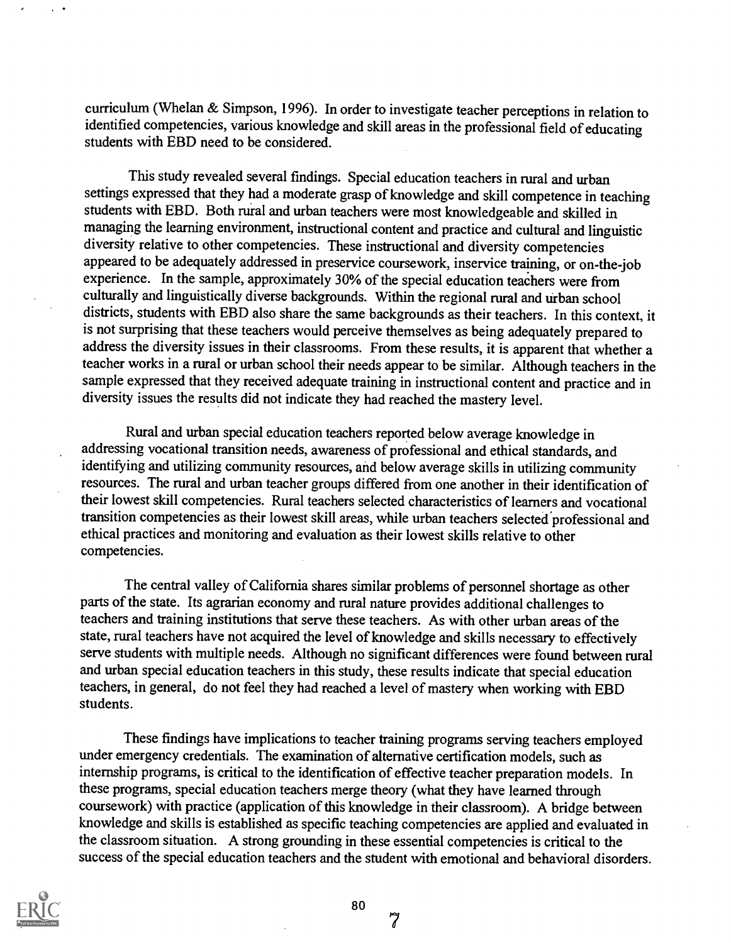curriculum (Whelan & Simpson, 1996). In order to investigate teacher perceptions in relation to identified competencies, various knowledge and skill areas in the professional field of educating students with EBD need to be considered.

This study revealed several findings. Special education teachers in rural and urban settings expressed that they had a moderate grasp of knowledge and skill competence in teaching students with EBD. Both rural and urban teachers were most knowledgeable and skilled in managing the learning environment, instructional content and practice and cultural and linguistic diversity relative to other competencies. These instructional and diversity competencies appeared to be adequately addressed in preservice coursework, inservice training, or on-the-job experience. In the sample, approximately 30% of the special education teachers were from culturally and linguistically diverse backgrounds. Within the regional rural and urban school districts, students with EBD also share the same backgrounds as their teachers. In this context, it is not surprising that these teachers would perceive themselves as being adequately prepared to address the diversity issues in their classrooms. From these results, it is apparent that whether a teacher works in a rural or urban school their needs appear to be similar. Although teachers in the sample expressed that they received adequate training in instructional content and practice and in diversity issues the results did not indicate they had reached the mastery level.

Rural and urban special education teachers reported below average knowledge in addressing vocational transition needs, awareness of professional and ethical standards, and identifying and utilizing community resources, and below average skills in utilizing community resources. The rural and urban teacher groups differed from one another in their identification of their lowest skill competencies. Rural teachers selected characteristics of learners and vocational transition competencies as their lowest skill areas, while urban teachers selected professional and ethical practices and monitoring and evaluation as their lowest skills relative to other competencies.

The central valley of California shares similar problems of personnel shortage as other parts of the state. Its agrarian economy and rural nature provides additional challenges to teachers and training institutions that serve these teachers. As with other urban areas of the state, rural teachers have not acquired the level of knowledge and skills necessary to effectively serve students with multiple needs. Although no significant differences were found between rural and urban special education teachers in this study, these results indicate that special education teachers, in general, do not feel they had reached a level of mastery when working with EBD students.

These findings have implications to teacher training programs serving teachers employed under emergency credentials. The examination of alternative certification models, such as internship programs, is critical to the identification of effective teacher preparation models. In these programs, special education teachers merge theory (what they have learned through coursework) with practice (application of this knowledge in their classroom). A bridge between knowledge and skills is established as specific teaching competencies are applied and evaluated in the classroom situation. A strong grounding in these essential competencies is critical to the success of the special education teachers and the student with emotional and behavioral disorders.



80

7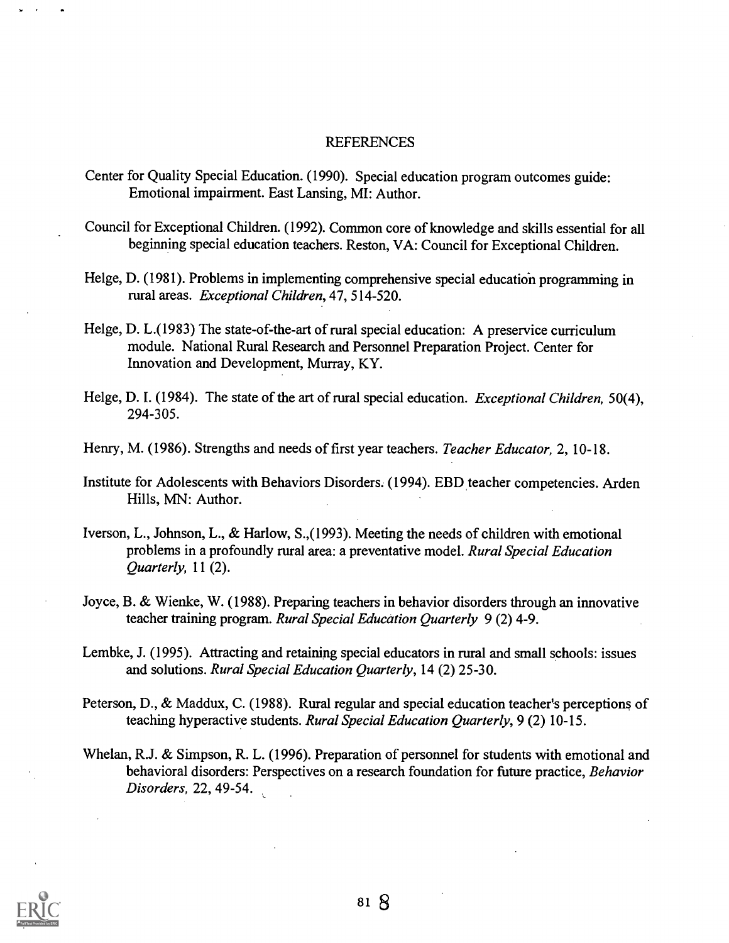#### REFERENCES

- Center for Quality Special Education. (1990). Special education program outcomes guide: Emotional impairment. East Lansing, MI: Author.
- Council for Exceptional Children. (1992). Common core of knowledge and skills essential for all beginning special education teachers. Reston, VA: Council for Exceptional Children.
- Helge, D. (1981). Problems in implementing comprehensive special education programming in rural areas. Exceptional Children, 47, 514-520.
- Helge, D. L.(1983) The state-of-the-art of rural special education: A preservice curriculum module. National Rural Research and Personnel Preparation Project. Center for Innovation and Development, Murray, KY.
- Helge, D. I. (1984). The state of the art of rural special education. *Exceptional Children*, 50(4), 294-305.
- Henry, M. (1986). Strengths and needs of first year teachers. Teacher Educator, 2, 10-18.
- Institute for Adolescents with Behaviors Disorders. (1994). EBD teacher competencies. Arden Hills, MN: Author.
- Iverson, L., Johnson, L., & Harlow, S.,(1993). Meeting the needs of children with emotional problems in a profoundly rural area: a preventative model. Rural Special Education Quarterly, 11 (2).
- Joyce, B. & Wienke, W. (1988). Preparing teachers in behavior disorders through an innovative teacher training program. Rural Special Education Quarterly 9 (2) 4-9.
- Lembke, J. (1995). Attracting and retaining special educators in rural and small schools: issues and solutions. Rural Special Education Quarterly, 14 (2) 25-30.
- Peterson, D., & Maddux, C. (1988). Rural regular and special education teacher's perceptions of teaching hyperactive students. Rural Special Education Quarterly, 9 (2) 10-15.
- Whelan, R.J. & Simpson, R. L. (1996). Preparation of personnel for students with emotional and behavioral disorders: Perspectives on a research foundation for future practice, Behavior Disorders, 22, 49-54.